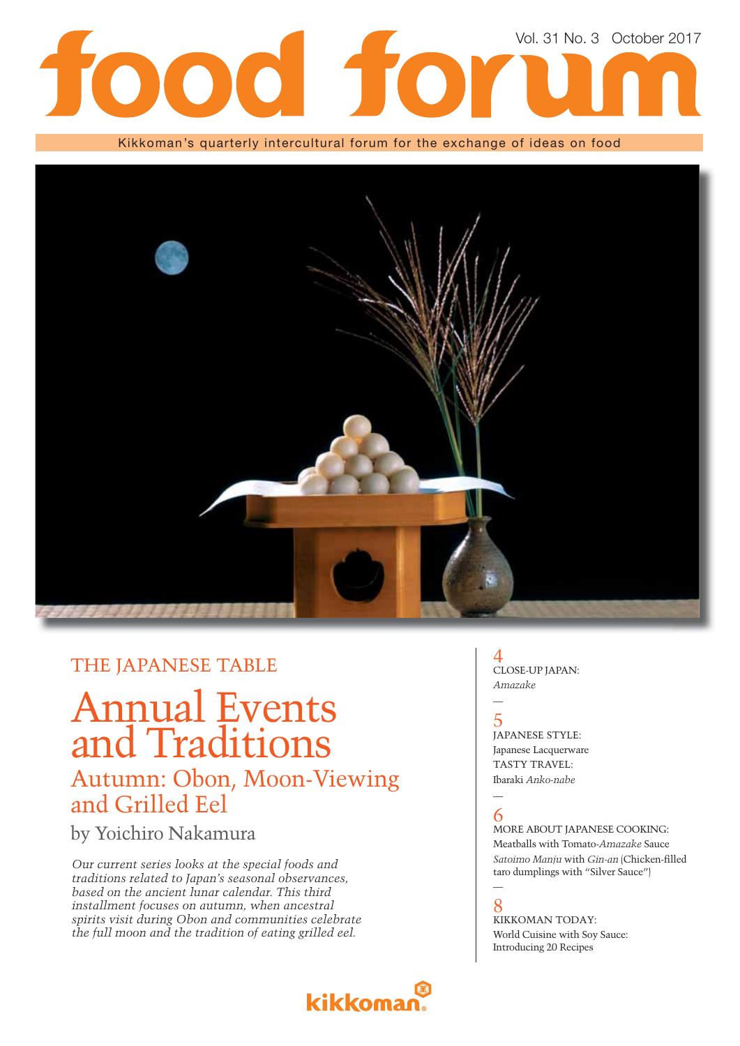

Kikkoman's quarterly intercultural forum for the exchange of ideas on food



### THE JAPANESE TABLE

## Annual Events and Traditions Autumn: Obon, Moon-Viewing and Grilled Eel

by Yoichiro Nakamura

*Our current series looks at the special foods and traditions related to Japan's seasonal observances, based on the ancient lunar calendar. This third installment focuses on autumn, when ancestral spirits visit during Obon and communities celebrate the full moon and the tradition of eating grilled eel.*

## kikkomar

### 4 CLOSE-UP JAPAN: *Amazake*

5 JAPANESE STYLE: Japanese Lacquerware TASTY TRAVEL: Ibaraki *Anko-nabe*

### — 6

—

MORE ABOUT JAPANESE COOKING: Meatballs with Tomato-*Amazake* Sauce *Satoimo Manju with Gin-an* (Chicken-filled taro dumplings with "Silver Sauce")

### $\overline{\phantom{0}}$

8 KIKKOMAN TODAY: World Cuisine with Soy Sauce: Introducing 20 Recipes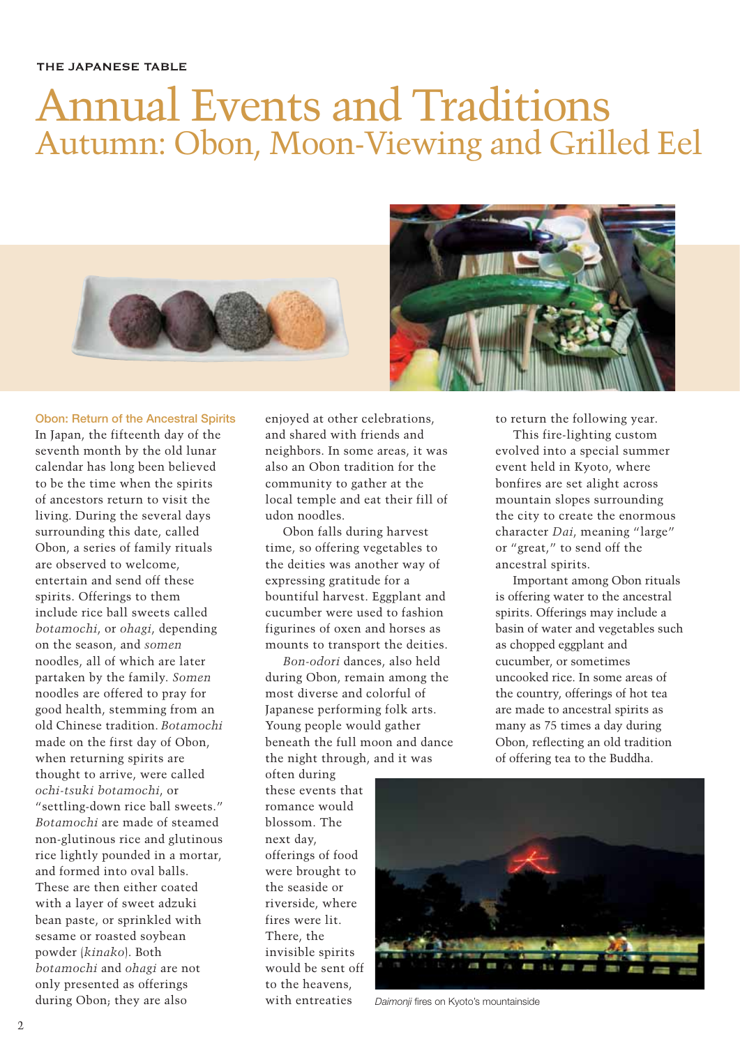# Annual Events and Traditions Autumn: Obon, Moon-Viewing and Grilled Eel





### **Obon: Return of the Ancestral Spirits**

In Japan, the fifteenth day of the seventh month by the old lunar calendar has long been believed to be the time when the spirits of ancestors return to visit the living. During the several days surrounding this date, called Obon, a series of family rituals are observed to welcome, entertain and send off these spirits. Offerings to them include rice ball sweets called *botamochi*, or *ohagi*, depending on the season, and *somen* noodles, all of which are later partaken by the family. *Somen* noodles are offered to pray for good health, stemming from an old Chinese tradition. *Botamochi* made on the first day of Obon, when returning spirits are thought to arrive, were called *ochi-tsuki botamochi*, or "settling-down rice ball sweets." *Botamochi* are made of steamed non-glutinous rice and glutinous rice lightly pounded in a mortar, and formed into oval balls. These are then either coated with a layer of sweet adzuki bean paste, or sprinkled with sesame or roasted soybean powder (*kinako*). Both *botamochi* and *ohagi* are not only presented as offerings during Obon; they are also

enjoyed at other celebrations, and shared with friends and neighbors. In some areas, it was also an Obon tradition for the community to gather at the local temple and eat their fill of udon noodles.

Obon falls during harvest time, so offering vegetables to the deities was another way of expressing gratitude for a bountiful harvest. Eggplant and cucumber were used to fashion figurines of oxen and horses as mounts to transport the deities.

*Bon-odori* dances, also held during Obon, remain among the most diverse and colorful of Japanese performing folk arts. Young people would gather beneath the full moon and dance the night through, and it was

often during these events that romance would blossom. The next day, offerings of food were brought to the seaside or riverside, where fires were lit. There, the invisible spirits would be sent off to the heavens, with entreaties

to return the following year.

This fire-lighting custom evolved into a special summer event held in Kyoto, where bonfires are set alight across mountain slopes surrounding the city to create the enormous character *Dai*, meaning "large" or "great," to send off the ancestral spirits.

Important among Obon rituals is offering water to the ancestral spirits. Offerings may include a basin of water and vegetables such as chopped eggplant and cucumber, or sometimes uncooked rice. In some areas of the country, offerings of hot tea are made to ancestral spirits as many as 75 times a day during Obon, reflecting an old tradition of offering tea to the Buddha.



**Daimonii fires on Kyoto's mountainside**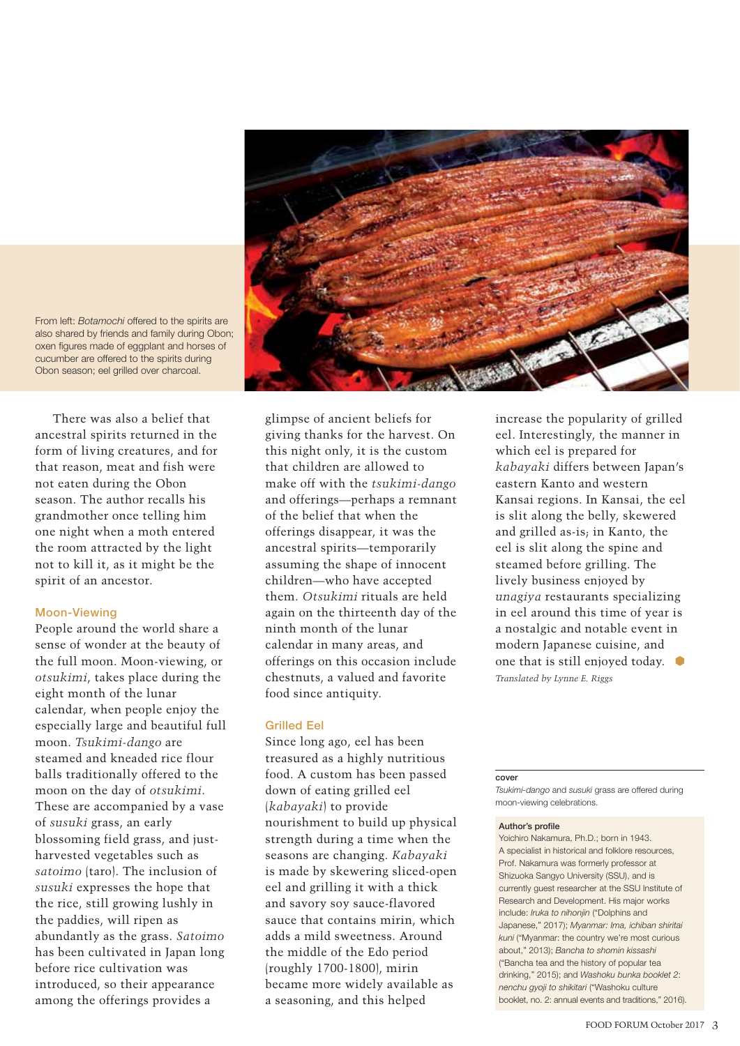

From left: *Botamochi* offered to the spirits are also shared by friends and family during Obon; oxen figures made of eggplant and horses of cucumber are offered to the spirits during Obon season; eel grilled over charcoal.

There was also a belief that ancestral spirits returned in the form of living creatures, and for that reason, meat and fish were not eaten during the Obon season. The author recalls his grandmother once telling him one night when a moth entered the room attracted by the light not to kill it, as it might be the spirit of an ancestor.

### **Moon-Viewing**

People around the world share a sense of wonder at the beauty of the full moon. Moon-viewing, or *otsukimi*, takes place during the eight month of the lunar calendar, when people enjoy the especially large and beautiful full moon. *Tsukimi-dango* are steamed and kneaded rice flour balls traditionally offered to the moon on the day of *otsukimi*. These are accompanied by a vase of *susuki* grass, an early blossoming field grass, and justharvested vegetables such as *satoimo* (taro). The inclusion of *susuki* expresses the hope that the rice, still growing lushly in the paddies, will ripen as abundantly as the grass. *Satoimo* has been cultivated in Japan long before rice cultivation was introduced, so their appearance among the offerings provides a

glimpse of ancient beliefs for giving thanks for the harvest. On this night only, it is the custom that children are allowed to make off with the *tsukimi-dango* and offerings—perhaps a remnant of the belief that when the offerings disappear, it was the ancestral spirits—temporarily assuming the shape of innocent children—who have accepted them. *Otsukimi* rituals are held again on the thirteenth day of the ninth month of the lunar calendar in many areas, and offerings on this occasion include chestnuts, a valued and favorite food since antiquity.

### **Grilled Eel**

Since long ago, eel has been treasured as a highly nutritious food. A custom has been passed down of eating grilled eel (*kabayaki*) to provide nourishment to build up physical strength during a time when the seasons are changing. *Kabayaki* is made by skewering sliced-open eel and grilling it with a thick and savory soy sauce-flavored sauce that contains mirin, which adds a mild sweetness. Around the middle of the Edo period (roughly 1700-1800), mirin became more widely available as a seasoning, and this helped

increase the popularity of grilled eel. Interestingly, the manner in which eel is prepared for *kabayaki* differs between Japan's eastern Kanto and western Kansai regions. In Kansai, the eel is slit along the belly, skewered and grilled as-is; in Kanto, the eel is slit along the spine and steamed before grilling. The lively business enjoyed by *unagiya* restaurants specializing in eel around this time of year is a nostalgic and notable event in modern Japanese cuisine, and one that is still enjoyed today. *Translated by Lynne E. Riggs*

#### **cover**

*Tsukimi-dango* and *susuki* grass are offered during moon-viewing celebrations.

#### **Author's profile**

Yoichiro Nakamura, Ph.D.; born in 1943. A specialist in historical and folklore resources, Prof. Nakamura was formerly professor at Shizuoka Sangyo University (SSU), and is currently guest researcher at the SSU Institute of Research and Development. His major works include: *Iruka to nihonjin* ("Dolphins and Japanese," 2017); *Myanmar: Ima, ichiban shiritai kuni* ("Myanmar: the country we're most curious about," 2013); *Bancha to shomin kissashi* ("Bancha tea and the history of popular tea drinking," 2015); and *Washoku bunka booklet 2*: *nenchu gyoji to shikitari* ("Washoku culture booklet, no. 2: annual events and traditions," 2016).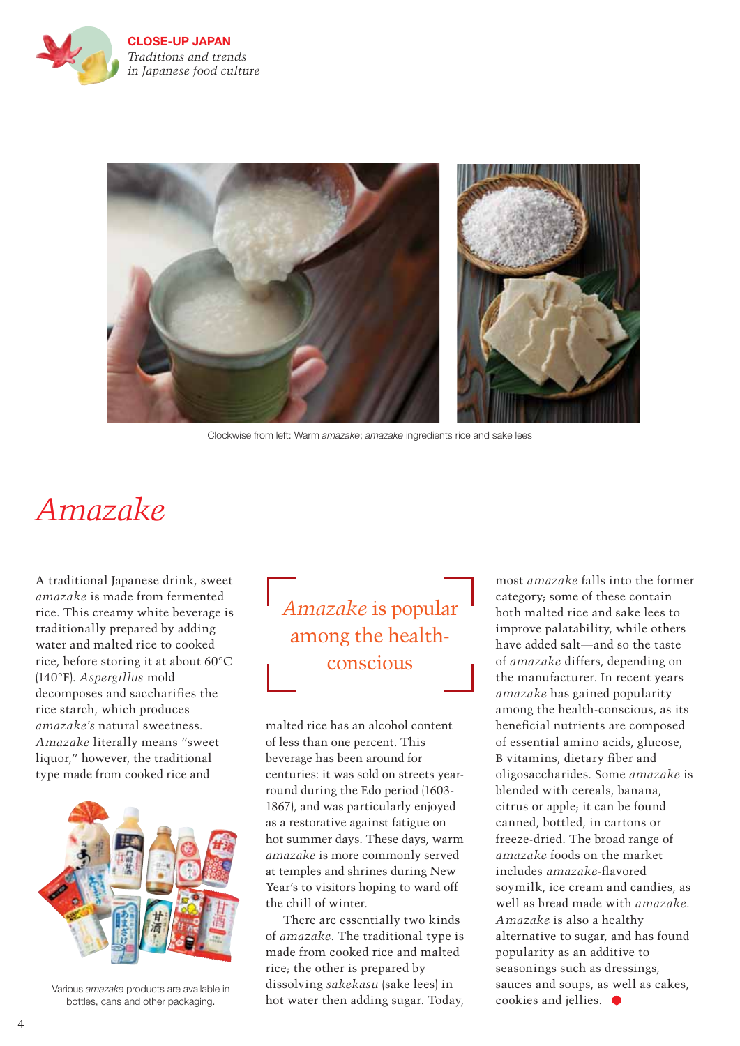

**CLOSE-UP JAPAN** *Traditions and trends in Japanese food culture* 



Clockwise from left: Warm *amazake*; *amazake* ingredients rice and sake lees

# *Amazake*

A traditional Japanese drink, sweet *amazake* is made from fermented rice. This creamy white beverage is traditionally prepared by adding water and malted rice to cooked rice, before storing it at about 60°C (140°F). *Aspergillus* mold decomposes and saccharifies the rice starch, which produces *amazake's* natural sweetness. *Amazake* literally means "sweet liquor," however, the traditional type made from cooked rice and



Various *amazake* products are available in bottles, cans and other packaging.

*Amazake* is popular among the healthconscious

malted rice has an alcohol content of less than one percent. This beverage has been around for centuries: it was sold on streets yearround during the Edo period (1603- 1867), and was particularly enjoyed as a restorative against fatigue on hot summer days. These days, warm *amazake* is more commonly served at temples and shrines during New Year's to visitors hoping to ward off the chill of winter.

There are essentially two kinds of *amazake*. The traditional type is made from cooked rice and malted rice; the other is prepared by dissolving *sakekasu* (sake lees) in hot water then adding sugar. Today,

most *amazake* falls into the former category; some of these contain both malted rice and sake lees to improve palatability, while others have added salt—and so the taste of *amazake* differs, depending on the manufacturer. In recent years *amazake* has gained popularity among the health-conscious, as its beneficial nutrients are composed of essential amino acids, glucose, B vitamins, dietary fiber and oligosaccharides. Some *amazake* is blended with cereals, banana, citrus or apple; it can be found canned, bottled, in cartons or freeze-dried. The broad range of *amazake* foods on the market includes *amazake*-flavored soymilk, ice cream and candies, as well as bread made with *amazake*. *Amazake* is also a healthy alternative to sugar, and has found popularity as an additive to seasonings such as dressings, sauces and soups, as well as cakes, cookies and iellies.  $\bullet$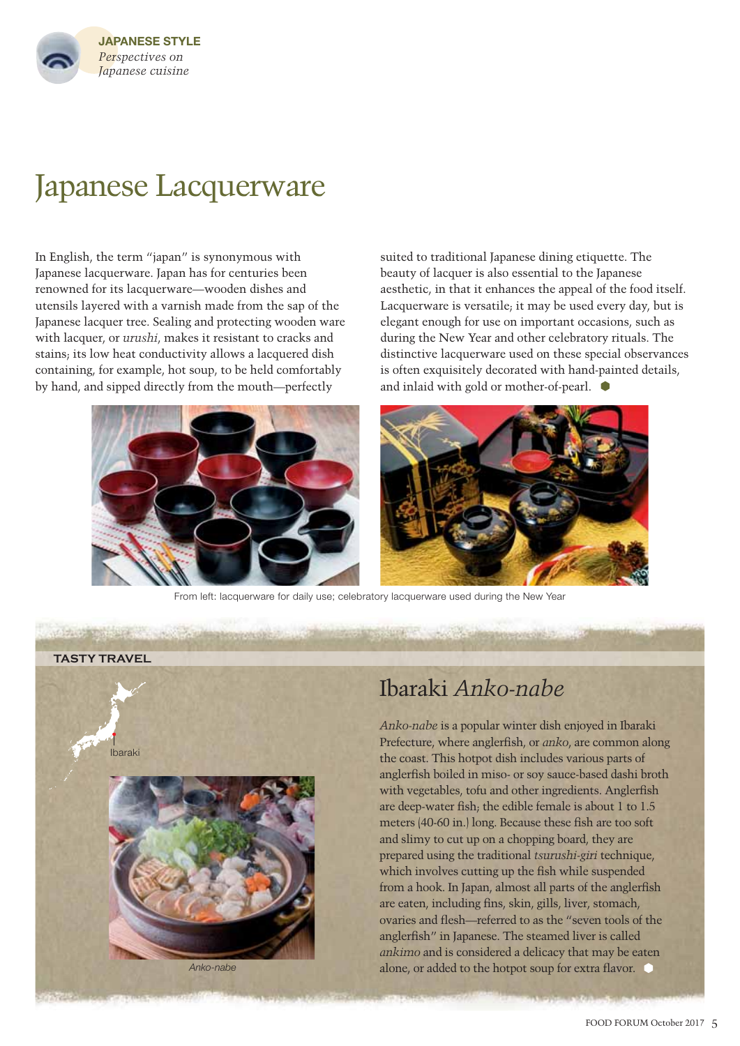

# Japanese Lacquerware

In English, the term "japan" is synonymous with Japanese lacquerware. Japan has for centuries been renowned for its lacquerware—wooden dishes and utensils layered with a varnish made from the sap of the Japanese lacquer tree. Sealing and protecting wooden ware with lacquer, or *urushi*, makes it resistant to cracks and stains; its low heat conductivity allows a lacquered dish containing, for example, hot soup, to be held comfortably by hand, and sipped directly from the mouth—perfectly

suited to traditional Japanese dining etiquette. The beauty of lacquer is also essential to the Japanese aesthetic, in that it enhances the appeal of the food itself. Lacquerware is versatile; it may be used every day, but is elegant enough for use on important occasions, such as during the New Year and other celebratory rituals. The distinctive lacquerware used on these special observances is often exquisitely decorated with hand-painted details, and inlaid with gold or mother-of-pearl.



From left: lacquerware for daily use; celebratory lacquerware used during the New Year



### Ibaraki *Anko-nabe*

*Anko-nabe* is a popular winter dish enjoyed in Ibaraki Prefecture, where anglerfish, or *anko*, are common along the coast. This hotpot dish includes various parts of anglerfish boiled in miso- or soy sauce-based dashi broth with vegetables, tofu and other ingredients. Anglerfish are deep-water fish; the edible female is about 1 to 1.5 meters (40-60 in.) long. Because these fish are too soft and slimy to cut up on a chopping board, they are prepared using the traditional *tsurushi-giri* technique, which involves cutting up the fish while suspended from a hook. In Japan, almost all parts of the anglerfish are eaten, including fins, skin, gills, liver, stomach, ovaries and flesh—referred to as the "seven tools of the anglerfish" in Japanese. The steamed liver is called *ankimo* and is considered a delicacy that may be eaten alone, or added to the hotpot soup for extra flavor.  $\bullet$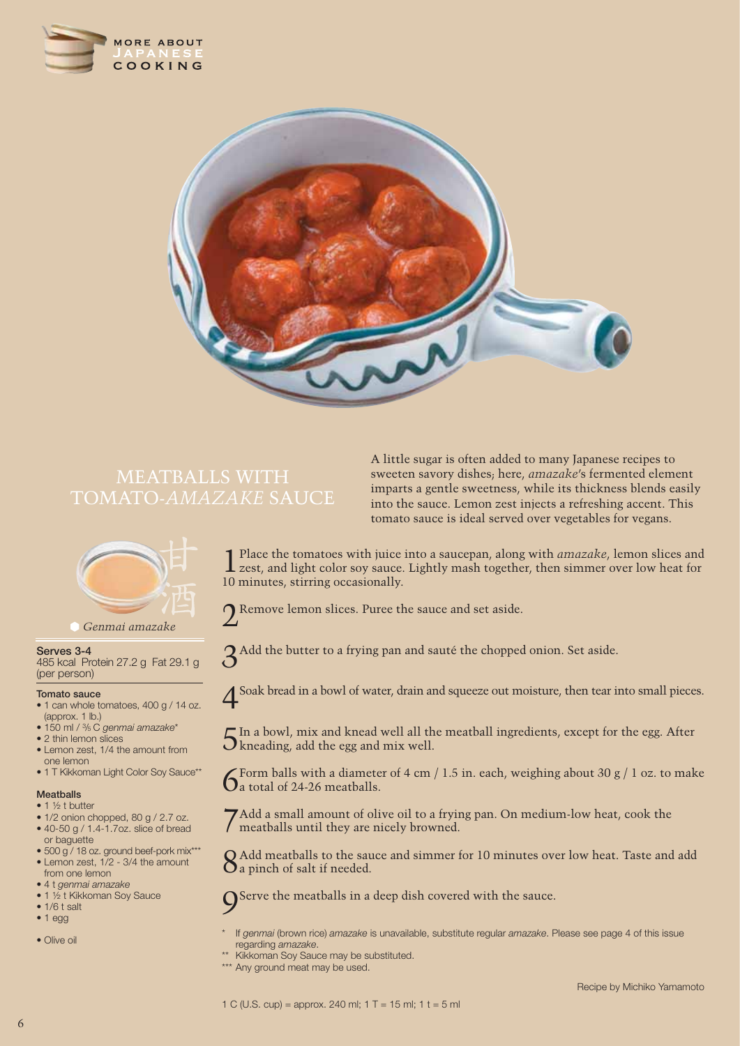



# MEATBALLS WITH



*Genmai amazake*

#### **Serves 3-4**

485 kcal Protein 27.2 g Fat 29.1 g (per person)

### **Tomato sauce**

- 1 can whole tomatoes, 400 g / 14 oz. (approx. 1 lb.)
- 150 ml / 3 /5 C *genmai amazake*\*
- 2 thin lemon slices
- Lemon zest, 1/4 the amount from one lemon
- 1 T Kikkoman Light Color Soy Sauce\*\*

### **Meatballs**

- $\bullet$  1  $\frac{1}{2}$  t butter
- 1/2 onion chopped, 80 g / 2.7 oz. • 40-50 g / 1.4-1.7oz. slice of bread
- or baguette • 500 g / 18 oz. ground beef-pork mix\*\*\*
- Lemon zest, 1/2 3/4 the amount
- from one lemon
- 4 t *genmai amazake* • 1 ½ t Kikkoman Soy Sauce
- 1/6 t salt
- 1 egg
- Olive oil

A little sugar is often added to many Japanese recipes to sweeten savory dishes; here, *amazake*'s fermented element imparts a gentle sweetness, while its thickness blends easily into the sauce. Lemon zest injects a refreshing accent. This tomato sauce is ideal served over vegetables for vegans.

1 Place the tomatoes with juice into a saucepan, along with *amazake*, lemon slices and zest, and light color soy sauce. Lightly mash together, then simmer over low heat for 10 minutes, stirring occasionally.

Remove lemon slices. Puree the sauce and set aside.

3Add the butter to a frying pan and sauté the chopped onion. Set aside.

4Soak bread in a bowl of water, drain and squeeze out moisture, then tear into small pieces.

 $5$ In a bowl, mix and knead well all the meatball ingredients, except for the egg. After kneading, add the egg and mix well.

 $6$ Form balls with a diameter of 4 cm / 1.5 in. each, weighing about 30 g / 1 oz. to make  $1$  a total of 24-26 meatballs.

7Add a small amount of olive oil to a frying pan. On medium-low heat, cook the meatballs until they are nicely browned.

 $\Omega$  Add meatballs to the sauce and simmer for 10 minutes over low heat. Taste and add a pinch of salt if needed.

9Serve the meatballs in a deep dish covered with the sauce.

- \* If *genmai* (brown rice) *amazake* is unavailable, substitute regular *amazake*. Please see page 4 of this issue regarding *amazake*.
- Kikkoman Soy Sauce may be substituted.
- \*\*\* Any ground meat may be used.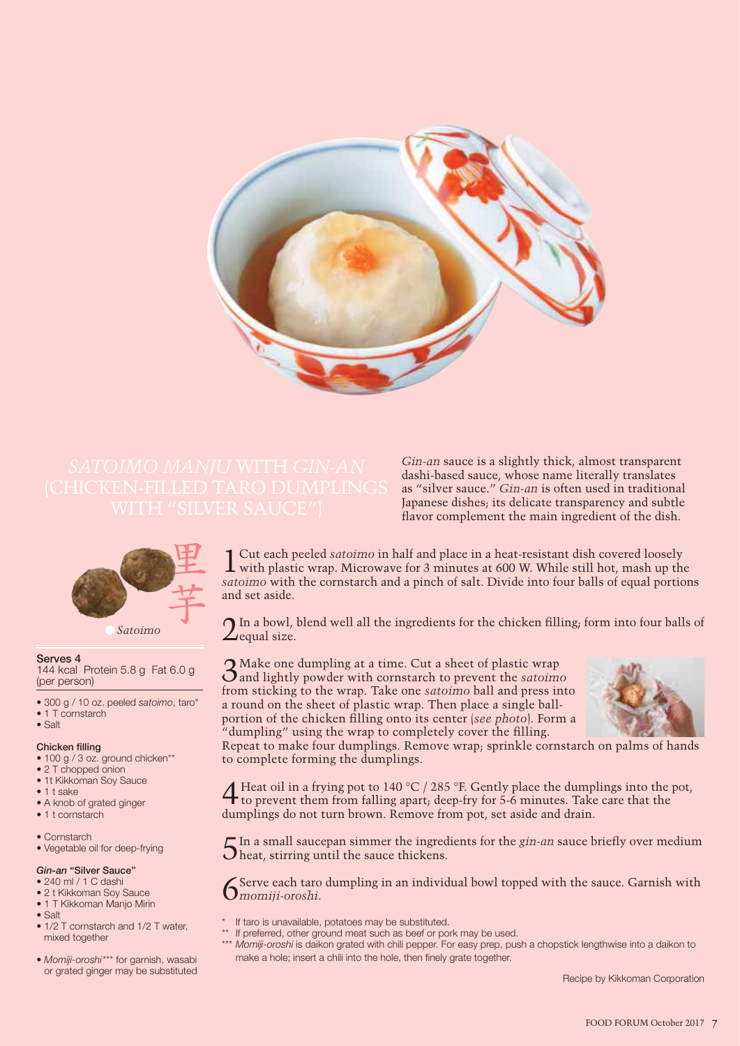

*Gin-an* sauce is a slightly thick, almost transparent dashi-based sauce, whose name literally translates as "silver sauce." *Gin-an* is often used in traditional Japanese dishes; its delicate transparency and subtle flavor complement the main ingredient of the dish.



*Satoimo*

#### **Serves 4**

144 kcal Protein 5.8 g Fat 6.0 g (per person)

- 300 g / 10 oz. peeled *satoimo*, taro\*
- 1 T cornstarch
- Salt

#### **Chicken filling**

- 100 g / 3 oz. ground chicken\*\*
- 2 T chopped onion
- 1t Kikkoman Soy Sauce
- 1 t sake
- A knob of grated ginger
- 1 t cornstarch
- Cornstarch
- Vegetable oil for deep-frying

### *Gin-an* **"Silver Sauce"**

### • 240 ml / 1 C dashi

- 2 t Kikkoman Soy Sauce
- 1 T Kikkoman Manjo Mirin
- Salt
- 1/2 T cornstarch and 1/2 T water, mixed together
- *Momiji-oroshi*\*\*\* for garnish, wasabi or grated ginger may be substituted

1 Cut each peeled *satoimo* in half and place in a heat-resistant dish covered loosely  $\perp$  with plastic wrap. Microwave for 3 minutes at 600 W. While still hot, mash up the *satoimo* with the cornstarch and a pinch of salt. Divide into four balls of equal portions and set aside.

 $\bigcap$  In a bowl, blend well all the ingredients for the chicken filling; form into four balls of  $\angle$  equal size.

3Make one dumpling at a time. Cut a sheet of plastic wrap and lightly powder withcornstarch to prevent the *satoimo* from sticking to the wrap. Take one *satoimo* ball and press into a round on the sheet of plastic wrap. Then place a single ballportion of the chicken filling onto its center (*see photo*). Form a "dumpling" using the wrap to completely cover the filling.



Repeat to make four dumplings. Remove wrap; sprinkle cornstarch on palms of hands to complete forming the dumplings.

**4** Heat oil in a frying pot to 140 °C / 285 °F. Gently place the dumplings into the pot, to prevent them from falling apart; deep-fry for 5-6 minutes. Take care that the dumplings do not turn brown. Remove from pot, set aside and drain.

In a small saucepan simmer the ingredients for the *gin-an* sauce briefly over medium heat, stirring until the sauce thickens.

Serve each taro dumpling in an individual bowl topped with the sauce. Garnish with *momiji-oroshi*.

- If taro is unavailable, potatoes may be substituted.
- \*\* If preferred, other ground meat such as beef or pork may be used.
	- \*\*\* *Momiji-oroshi* is daikon grated with chili pepper. For easy prep, push a chopstick lengthwise into a daikon to make a hole; insert a chili into the hole, then finely grate together.

Recipe by Kikkoman Corporation